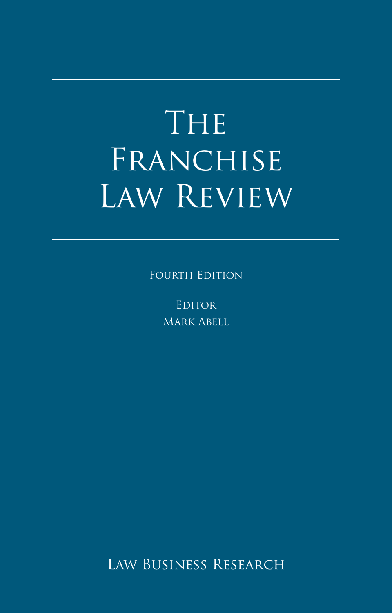# The Franchise Law Review

FOURTH EDITION

**EDITOR** Mark Abell

Law Business Research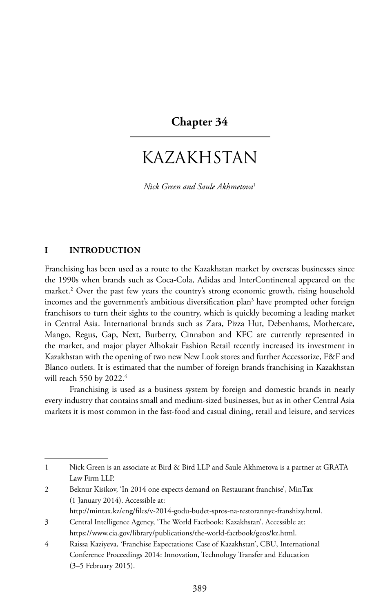### **Chapter 34**

## KAZAKHSTAN

*Nick Green and Saule Akhmetova*<sup>1</sup>

#### **I INTRODUCTION**

Franchising has been used as a route to the Kazakhstan market by overseas businesses since the 1990s when brands such as Coca-Cola, Adidas and InterContinental appeared on the market.2 Over the past few years the country's strong economic growth, rising household incomes and the government's ambitious diversification plan<sup>3</sup> have prompted other foreign franchisors to turn their sights to the country, which is quickly becoming a leading market in Central Asia. International brands such as Zara, Pizza Hut, Debenhams, Mothercare, Mango, Regus, Gap, Next, Burberry, Cinnabon and KFC are currently represented in the market, and major player Alhokair Fashion Retail recently increased its investment in Kazakhstan with the opening of two new New Look stores and further Accessorize, F&F and Blanco outlets. It is estimated that the number of foreign brands franchising in Kazakhstan will reach 550 by 2022.<sup>4</sup>

Franchising is used as a business system by foreign and domestic brands in nearly every industry that contains small and medium-sized businesses, but as in other Central Asia markets it is most common in the fast-food and casual dining, retail and leisure, and services

2 Beknur Kisikov, 'In 2014 one expects demand on Restaurant franchise', MinTax (1 January 2014). Accessible at:

<sup>1</sup> Nick Green is an associate at Bird & Bird LLP and Saule Akhmetova is a partner at GRATA Law Firm LLP.

http://mintax.kz/eng/files/v-2014-godu-budet-spros-na-restorannye-franshizy.html.

<sup>3</sup> Central Intelligence Agency, 'The World Factbook: Kazakhstan'. Accessible at: https://www.cia.gov/library/publications/the-world-factbook/geos/kz.html.

<sup>4</sup> Raissa Kaziyeva, 'Franchise Expectations: Case of Kazakhstan', CBU, International Conference Proceedings 2014: Innovation, Technology Transfer and Education (3–5 February 2015).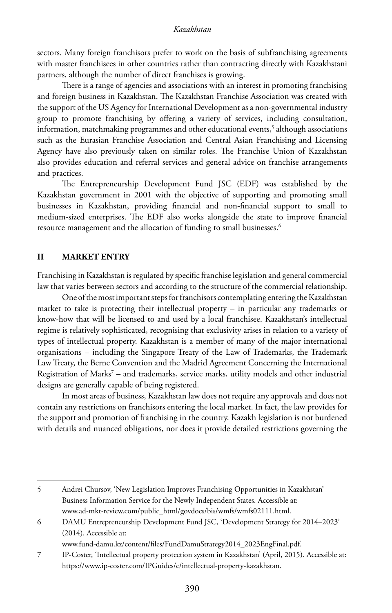sectors. Many foreign franchisors prefer to work on the basis of subfranchising agreements with master franchisees in other countries rather than contracting directly with Kazakhstani partners, although the number of direct franchises is growing.

There is a range of agencies and associations with an interest in promoting franchising and foreign business in Kazakhstan. The Kazakhstan Franchise Association was created with the support of the US Agency for International Development as a non-governmental industry group to promote franchising by offering a variety of services, including consultation, information, matchmaking programmes and other educational events, $^{\mathrm{5}}$  although associations such as the Eurasian Franchise Association and Central Asian Franchising and Licensing Agency have also previously taken on similar roles. The Franchise Union of Kazakhstan also provides education and referral services and general advice on franchise arrangements and practices.

The Entrepreneurship Development Fund JSC (EDF) was established by the Kazakhstan government in 2001 with the objective of supporting and promoting small businesses in Kazakhstan, providing financial and non-financial support to small to medium-sized enterprises. The EDF also works alongside the state to improve financial resource management and the allocation of funding to small businesses.<sup>6</sup>

#### **II MARKET ENTRY**

Franchising in Kazakhstan is regulated by specific franchise legislation and general commercial law that varies between sectors and according to the structure of the commercial relationship.

One of the most important steps for franchisors contemplating entering the Kazakhstan market to take is protecting their intellectual property – in particular any trademarks or know-how that will be licensed to and used by a local franchisee. Kazakhstan's intellectual regime is relatively sophisticated, recognising that exclusivity arises in relation to a variety of types of intellectual property. Kazakhstan is a member of many of the major international organisations – including the Singapore Treaty of the Law of Trademarks, the Trademark Law Treaty, the Berne Convention and the Madrid Agreement Concerning the International Registration of Marks<sup>7</sup> – and trademarks, service marks, utility models and other industrial designs are generally capable of being registered.

In most areas of business, Kazakhstan law does not require any approvals and does not contain any restrictions on franchisors entering the local market. In fact, the law provides for the support and promotion of franchising in the country. Kazakh legislation is not burdened with details and nuanced obligations, nor does it provide detailed restrictions governing the

6 DAMU Entrepreneurship Development Fund JSC, 'Development Strategy for 2014–2023' (2014). Accessible at:

www.fund-damu.kz/content/files/FundDamuStrategy2014\_2023EngFinal.pdf.

7 IP-Coster, 'Intellectual property protection system in Kazakhstan' (April, 2015). Accessible at: https://www.ip-coster.com/IPGuides/c/intellectual-property-kazakhstan.

<sup>5</sup> Andrei Chursov, 'New Legislation Improves Franchising Opportunities in Kazakhstan' Business Information Service for the Newly Independent States. Accessible at: www.ad-mkt-review.com/public\_html/govdocs/bis/wmfs/wmfs02111.html.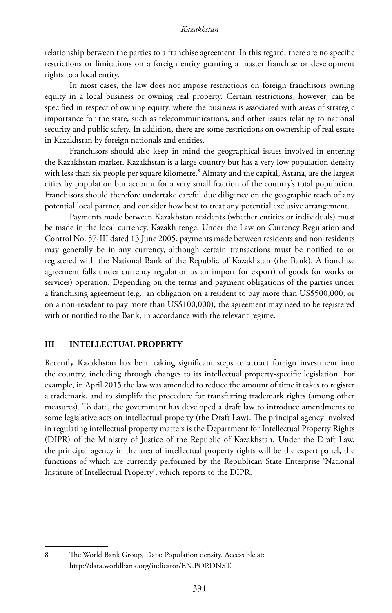relationship between the parties to a franchise agreement. In this regard, there are no specific restrictions or limitations on a foreign entity granting a master franchise or development rights to a local entity.

In most cases, the law does not impose restrictions on foreign franchisors owning equity in a local business or owning real property. Certain restrictions, however, can be specified in respect of owning equity, where the business is associated with areas of strategic importance for the state, such as telecommunications, and other issues relating to national security and public safety. In addition, there are some restrictions on ownership of real estate in Kazakhstan by foreign nationals and entities.

Franchisors should also keep in mind the geographical issues involved in entering the Kazakhstan market. Kazakhstan is a large country but has a very low population density with less than six people per square kilometre.<sup>8</sup> Almaty and the capital, Astana, are the largest cities by population but account for a very small fraction of the country's total population. Franchisors should therefore undertake careful due diligence on the geographic reach of any potential local partner, and consider how best to treat any potential exclusive arrangement.

Payments made between Kazakhstan residents (whether entities or individuals) must be made in the local currency, Kazakh tenge. Under the Law on Currency Regulation and Control No. 57-III dated 13 June 2005, payments made between residents and non-residents may generally be in any currency, although certain transactions must be notified to or registered with the National Bank of the Republic of Kazakhstan (the Bank). A franchise agreement falls under currency regulation as an import (or export) of goods (or works or services) operation. Depending on the terms and payment obligations of the parties under a franchising agreement (e.g., an obligation on a resident to pay more than US\$500,000, or on a non-resident to pay more than US\$100,000), the agreement may need to be registered with or notified to the Bank, in accordance with the relevant regime.

#### **III INTELLECTUAL PROPERTY**

Recently Kazakhstan has been taking significant steps to attract foreign investment into the country, including through changes to its intellectual property-specific legislation. For example, in April 2015 the law was amended to reduce the amount of time it takes to register a trademark, and to simplify the procedure for transferring trademark rights (among other measures). To date, the government has developed a draft law to introduce amendments to some legislative acts on intellectual property (the Draft Law). The principal agency involved in regulating intellectual property matters is the Department for Intellectual Property Rights (DIPR) of the Ministry of Justice of the Republic of Kazakhstan. Under the Draft Law, the principal agency in the area of intellectual property rights will be the expert panel, the functions of which are currently performed by the Republican State Enterprise 'National Institute of Intellectual Property', which reports to the DIPR.

8 The World Bank Group, Data: Population density. Accessible at: http://data.worldbank.org/indicator/EN.POP.DNST.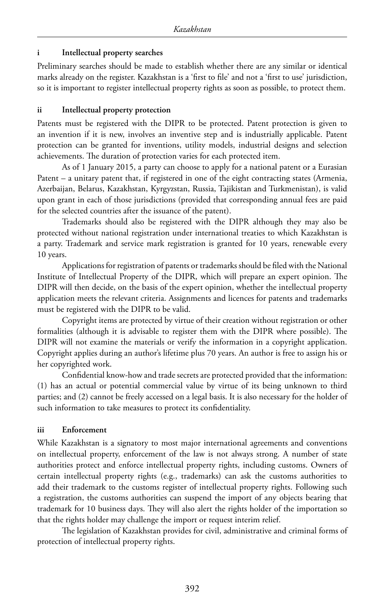#### **i Intellectual property searches**

Preliminary searches should be made to establish whether there are any similar or identical marks already on the register. Kazakhstan is a 'first to file' and not a 'first to use' jurisdiction, so it is important to register intellectual property rights as soon as possible, to protect them.

#### **ii Intellectual property protection**

Patents must be registered with the DIPR to be protected. Patent protection is given to an invention if it is new, involves an inventive step and is industrially applicable. Patent protection can be granted for inventions, utility models, industrial designs and selection achievements. The duration of protection varies for each protected item.

As of 1 January 2015, a party can choose to apply for a national patent or a Eurasian Patent – a unitary patent that, if registered in one of the eight contracting states (Armenia, Azerbaijan, Belarus, Kazakhstan, Kyrgyzstan, Russia, Tajikistan and Turkmenistan), is valid upon grant in each of those jurisdictions (provided that corresponding annual fees are paid for the selected countries after the issuance of the patent).

Trademarks should also be registered with the DIPR although they may also be protected without national registration under international treaties to which Kazakhstan is a party. Trademark and service mark registration is granted for 10 years, renewable every 10 years.

Applications for registration of patents or trademarks should be filed with the National Institute of Intellectual Property of the DIPR, which will prepare an expert opinion. The DIPR will then decide, on the basis of the expert opinion, whether the intellectual property application meets the relevant criteria. Assignments and licences for patents and trademarks must be registered with the DIPR to be valid.

Copyright items are protected by virtue of their creation without registration or other formalities (although it is advisable to register them with the DIPR where possible). The DIPR will not examine the materials or verify the information in a copyright application. Copyright applies during an author's lifetime plus 70 years. An author is free to assign his or her copyrighted work.

Confidential know-how and trade secrets are protected provided that the information: (1) has an actual or potential commercial value by virtue of its being unknown to third parties; and (2) cannot be freely accessed on a legal basis. It is also necessary for the holder of such information to take measures to protect its confidentiality.

#### **iii Enforcement**

While Kazakhstan is a signatory to most major international agreements and conventions on intellectual property, enforcement of the law is not always strong. A number of state authorities protect and enforce intellectual property rights, including customs. Owners of certain intellectual property rights (e.g., trademarks) can ask the customs authorities to add their trademark to the customs register of intellectual property rights. Following such a registration, the customs authorities can suspend the import of any objects bearing that trademark for 10 business days. They will also alert the rights holder of the importation so that the rights holder may challenge the import or request interim relief.

The legislation of Kazakhstan provides for civil, administrative and criminal forms of protection of intellectual property rights.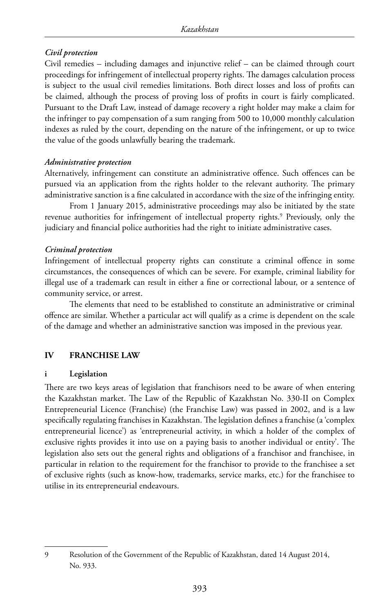#### *Civil protection*

Civil remedies – including damages and injunctive relief – can be claimed through court proceedings for infringement of intellectual property rights. The damages calculation process is subject to the usual civil remedies limitations. Both direct losses and loss of profits can be claimed, although the process of proving loss of profits in court is fairly complicated. Pursuant to the Draft Law, instead of damage recovery a right holder may make a claim for the infringer to pay compensation of a sum ranging from 500 to 10,000 monthly calculation indexes as ruled by the court, depending on the nature of the infringement, or up to twice the value of the goods unlawfully bearing the trademark.

#### *Administrative protection*

Alternatively, infringement can constitute an administrative offence. Such offences can be pursued via an application from the rights holder to the relevant authority. The primary administrative sanction is a fine calculated in accordance with the size of the infringing entity.

From 1 January 2015, administrative proceedings may also be initiated by the state revenue authorities for infringement of intellectual property rights.<sup>9</sup> Previously, only the judiciary and financial police authorities had the right to initiate administrative cases.

#### *Criminal protection*

Infringement of intellectual property rights can constitute a criminal offence in some circumstances, the consequences of which can be severe. For example, criminal liability for illegal use of a trademark can result in either a fine or correctional labour, or a sentence of community service, or arrest.

The elements that need to be established to constitute an administrative or criminal offence are similar. Whether a particular act will qualify as a crime is dependent on the scale of the damage and whether an administrative sanction was imposed in the previous year.

#### **IV FRANCHISE LAW**

#### **i Legislation**

There are two keys areas of legislation that franchisors need to be aware of when entering the Kazakhstan market. The Law of the Republic of Kazakhstan No. 330-II on Complex Entrepreneurial Licence (Franchise) (the Franchise Law) was passed in 2002, and is a law specifically regulating franchises in Kazakhstan. The legislation defines a franchise (a 'complex entrepreneurial licence') as 'entrepreneurial activity, in which a holder of the complex of exclusive rights provides it into use on a paying basis to another individual or entity'. The legislation also sets out the general rights and obligations of a franchisor and franchisee, in particular in relation to the requirement for the franchisor to provide to the franchisee a set of exclusive rights (such as know-how, trademarks, service marks, etc.) for the franchisee to utilise in its entrepreneurial endeavours.

9 Resolution of the Government of the Republic of Kazakhstan, dated 14 August 2014, No. 933.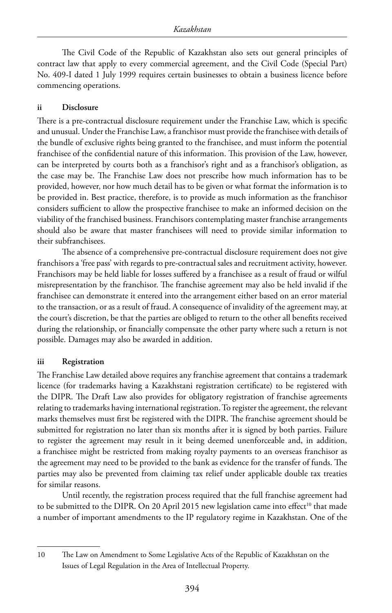The Civil Code of the Republic of Kazakhstan also sets out general principles of contract law that apply to every commercial agreement, and the Civil Code (Special Part) No. 409-I dated 1 July 1999 requires certain businesses to obtain a business licence before commencing operations.

#### **ii Disclosure**

There is a pre-contractual disclosure requirement under the Franchise Law, which is specific and unusual. Under the Franchise Law, a franchisor must provide the franchisee with details of the bundle of exclusive rights being granted to the franchisee, and must inform the potential franchisee of the confidential nature of this information. This provision of the Law, however, can be interpreted by courts both as a franchisor's right and as a franchisor's obligation, as the case may be. The Franchise Law does not prescribe how much information has to be provided, however, nor how much detail has to be given or what format the information is to be provided in. Best practice, therefore, is to provide as much information as the franchisor considers sufficient to allow the prospective franchisee to make an informed decision on the viability of the franchised business. Franchisors contemplating master franchise arrangements should also be aware that master franchisees will need to provide similar information to their subfranchisees.

The absence of a comprehensive pre-contractual disclosure requirement does not give franchisors a 'free pass' with regards to pre-contractual sales and recruitment activity, however. Franchisors may be held liable for losses suffered by a franchisee as a result of fraud or wilful misrepresentation by the franchisor. The franchise agreement may also be held invalid if the franchisee can demonstrate it entered into the arrangement either based on an error material to the transaction, or as a result of fraud. A consequence of invalidity of the agreement may, at the court's discretion, be that the parties are obliged to return to the other all benefits received during the relationship, or financially compensate the other party where such a return is not possible. Damages may also be awarded in addition.

#### **iii Registration**

The Franchise Law detailed above requires any franchise agreement that contains a trademark licence (for trademarks having a Kazakhstani registration certificate) to be registered with the DIPR. The Draft Law also provides for obligatory registration of franchise agreements relating to trademarks having international registration. To register the agreement, the relevant marks themselves must first be registered with the DIPR. The franchise agreement should be submitted for registration no later than six months after it is signed by both parties. Failure to register the agreement may result in it being deemed unenforceable and, in addition, a franchisee might be restricted from making royalty payments to an overseas franchisor as the agreement may need to be provided to the bank as evidence for the transfer of funds. The parties may also be prevented from claiming tax relief under applicable double tax treaties for similar reasons.

Until recently, the registration process required that the full franchise agreement had to be submitted to the DIPR. On 20 April 2015 new legislation came into effect<sup>10</sup> that made a number of important amendments to the IP regulatory regime in Kazakhstan. One of the

<sup>10</sup> The Law on Amendment to Some Legislative Acts of the Republic of Kazakhstan on the Issues of Legal Regulation in the Area of Intellectual Property.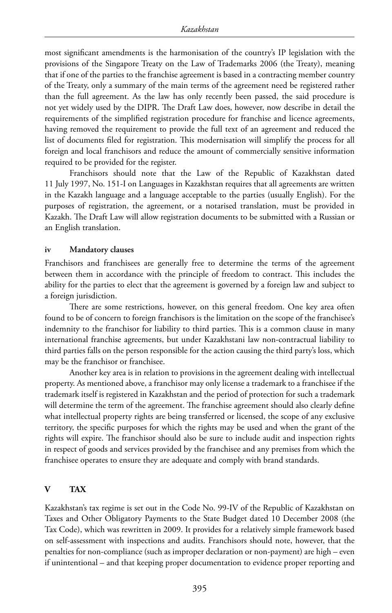most significant amendments is the harmonisation of the country's IP legislation with the provisions of the Singapore Treaty on the Law of Trademarks 2006 (the Treaty), meaning that if one of the parties to the franchise agreement is based in a contracting member country of the Treaty, only a summary of the main terms of the agreement need be registered rather than the full agreement. As the law has only recently been passed, the said procedure is not yet widely used by the DIPR. The Draft Law does, however, now describe in detail the requirements of the simplified registration procedure for franchise and licence agreements, having removed the requirement to provide the full text of an agreement and reduced the list of documents filed for registration. This modernisation will simplify the process for all foreign and local franchisors and reduce the amount of commercially sensitive information required to be provided for the register.

Franchisors should note that the Law of the Republic of Kazakhstan dated 11 July 1997, No. 151-I on Languages in Kazakhstan requires that all agreements are written in the Kazakh language and a language acceptable to the parties (usually English). For the purposes of registration, the agreement, or a notarised translation, must be provided in Kazakh. The Draft Law will allow registration documents to be submitted with a Russian or an English translation.

#### **iv Mandatory clauses**

Franchisors and franchisees are generally free to determine the terms of the agreement between them in accordance with the principle of freedom to contract. This includes the ability for the parties to elect that the agreement is governed by a foreign law and subject to a foreign jurisdiction.

There are some restrictions, however, on this general freedom. One key area often found to be of concern to foreign franchisors is the limitation on the scope of the franchisee's indemnity to the franchisor for liability to third parties. This is a common clause in many international franchise agreements, but under Kazakhstani law non-contractual liability to third parties falls on the person responsible for the action causing the third party's loss, which may be the franchisor or franchisee.

Another key area is in relation to provisions in the agreement dealing with intellectual property. As mentioned above, a franchisor may only license a trademark to a franchisee if the trademark itself is registered in Kazakhstan and the period of protection for such a trademark will determine the term of the agreement. The franchise agreement should also clearly define what intellectual property rights are being transferred or licensed, the scope of any exclusive territory, the specific purposes for which the rights may be used and when the grant of the rights will expire. The franchisor should also be sure to include audit and inspection rights in respect of goods and services provided by the franchisee and any premises from which the franchisee operates to ensure they are adequate and comply with brand standards.

#### **V TAX**

Kazakhstan's tax regime is set out in the Code No. 99-IV of the Republic of Kazakhstan on Taxes and Other Obligatory Payments to the State Budget dated 10 December 2008 (the Tax Code), which was rewritten in 2009. It provides for a relatively simple framework based on self-assessment with inspections and audits. Franchisors should note, however, that the penalties for non-compliance (such as improper declaration or non-payment) are high – even if unintentional – and that keeping proper documentation to evidence proper reporting and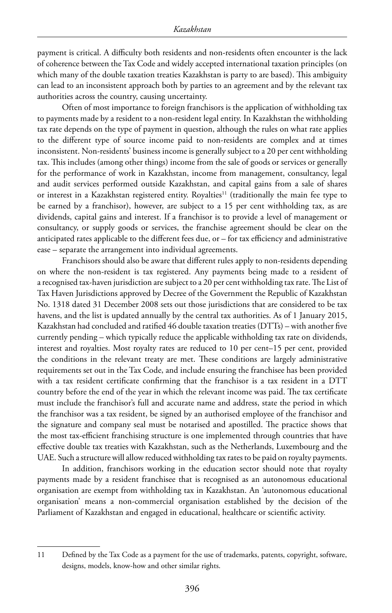payment is critical. A difficulty both residents and non-residents often encounter is the lack of coherence between the Tax Code and widely accepted international taxation principles (on which many of the double taxation treaties Kazakhstan is party to are based). This ambiguity can lead to an inconsistent approach both by parties to an agreement and by the relevant tax authorities across the country, causing uncertainty.

Often of most importance to foreign franchisors is the application of withholding tax to payments made by a resident to a non-resident legal entity. In Kazakhstan the withholding tax rate depends on the type of payment in question, although the rules on what rate applies to the different type of source income paid to non-residents are complex and at times inconsistent. Non-residents' business income is generally subject to a 20 per cent withholding tax. This includes (among other things) income from the sale of goods or services or generally for the performance of work in Kazakhstan, income from management, consultancy, legal and audit services performed outside Kazakhstan, and capital gains from a sale of shares or interest in a Kazakhstan registered entity. Royalties<sup>11</sup> (traditionally the main fee type to be earned by a franchisor), however, are subject to a 15 per cent withholding tax, as are dividends, capital gains and interest. If a franchisor is to provide a level of management or consultancy, or supply goods or services, the franchise agreement should be clear on the anticipated rates applicable to the different fees due, or – for tax efficiency and administrative ease – separate the arrangement into individual agreements.

Franchisors should also be aware that different rules apply to non-residents depending on where the non-resident is tax registered. Any payments being made to a resident of a recognised tax-haven jurisdiction are subject to a 20 per cent withholding tax rate. The List of Tax Haven Jurisdictions approved by Decree of the Government the Republic of Kazakhstan No. 1318 dated 31 December 2008 sets out those jurisdictions that are considered to be tax havens, and the list is updated annually by the central tax authorities. As of 1 January 2015, Kazakhstan had concluded and ratified 46 double taxation treaties (DTTs) – with another five currently pending – which typically reduce the applicable withholding tax rate on dividends, interest and royalties. Most royalty rates are reduced to 10 per cent–15 per cent, provided the conditions in the relevant treaty are met. These conditions are largely administrative requirements set out in the Tax Code, and include ensuring the franchisee has been provided with a tax resident certificate confirming that the franchisor is a tax resident in a DTT country before the end of the year in which the relevant income was paid. The tax certificate must include the franchisor's full and accurate name and address, state the period in which the franchisor was a tax resident, be signed by an authorised employee of the franchisor and the signature and company seal must be notarised and apostilled. The practice shows that the most tax-efficient franchising structure is one implemented through countries that have effective double tax treaties with Kazakhstan, such as the Netherlands, Luxembourg and the UAE. Such a structure will allow reduced withholding tax rates to be paid on royalty payments.

In addition, franchisors working in the education sector should note that royalty payments made by a resident franchisee that is recognised as an autonomous educational organisation are exempt from withholding tax in Kazakhstan. An 'autonomous educational organisation' means a non-commercial organisation established by the decision of the Parliament of Kazakhstan and engaged in educational, healthcare or scientific activity.

<sup>11</sup> Defined by the Tax Code as a payment for the use of trademarks, patents, copyright, software, designs, models, know-how and other similar rights.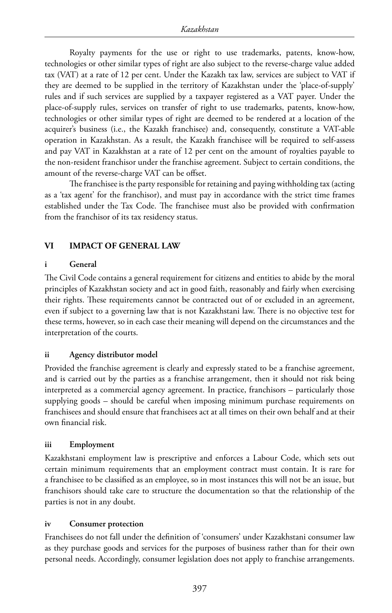Royalty payments for the use or right to use trademarks, patents, know-how, technologies or other similar types of right are also subject to the reverse-charge value added tax (VAT) at a rate of 12 per cent. Under the Kazakh tax law, services are subject to VAT if they are deemed to be supplied in the territory of Kazakhstan under the 'place-of-supply' rules and if such services are supplied by a taxpayer registered as a VAT payer. Under the place-of-supply rules, services on transfer of right to use trademarks, patents, know-how, technologies or other similar types of right are deemed to be rendered at a location of the acquirer's business (i.e., the Kazakh franchisee) and, consequently, constitute a VAT-able operation in Kazakhstan. As a result, the Kazakh franchisee will be required to self-assess and pay VAT in Kazakhstan at a rate of 12 per cent on the amount of royalties payable to the non-resident franchisor under the franchise agreement. Subject to certain conditions, the amount of the reverse-charge VAT can be offset.

The franchisee is the party responsible for retaining and paying withholding tax (acting as a 'tax agent' for the franchisor), and must pay in accordance with the strict time frames established under the Tax Code. The franchisee must also be provided with confirmation from the franchisor of its tax residency status.

#### **VI IMPACT OF GENERAL LAW**

#### **i General**

The Civil Code contains a general requirement for citizens and entities to abide by the moral principles of Kazakhstan society and act in good faith, reasonably and fairly when exercising their rights. These requirements cannot be contracted out of or excluded in an agreement, even if subject to a governing law that is not Kazakhstani law. There is no objective test for these terms, however, so in each case their meaning will depend on the circumstances and the interpretation of the courts.

#### **ii Agency distributor model**

Provided the franchise agreement is clearly and expressly stated to be a franchise agreement, and is carried out by the parties as a franchise arrangement, then it should not risk being interpreted as a commercial agency agreement. In practice, franchisors – particularly those supplying goods – should be careful when imposing minimum purchase requirements on franchisees and should ensure that franchisees act at all times on their own behalf and at their own financial risk.

#### **iii Employment**

Kazakhstani employment law is prescriptive and enforces a Labour Code, which sets out certain minimum requirements that an employment contract must contain. It is rare for a franchisee to be classified as an employee, so in most instances this will not be an issue, but franchisors should take care to structure the documentation so that the relationship of the parties is not in any doubt.

#### **iv Consumer protection**

Franchisees do not fall under the definition of 'consumers' under Kazakhstani consumer law as they purchase goods and services for the purposes of business rather than for their own personal needs. Accordingly, consumer legislation does not apply to franchise arrangements.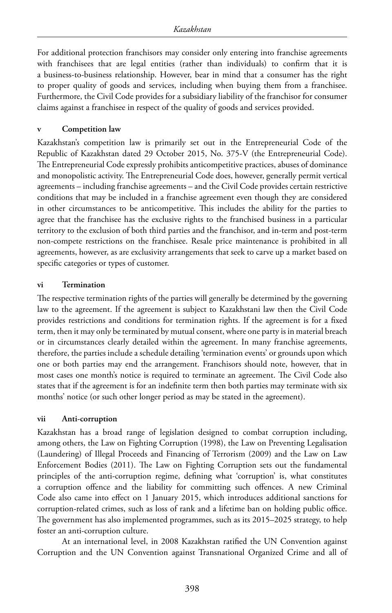For additional protection franchisors may consider only entering into franchise agreements with franchisees that are legal entities (rather than individuals) to confirm that it is a business-to-business relationship. However, bear in mind that a consumer has the right to proper quality of goods and services, including when buying them from a franchisee. Furthermore, the Civil Code provides for a subsidiary liability of the franchisor for consumer claims against a franchisee in respect of the quality of goods and services provided.

#### **v Competition law**

Kazakhstan's competition law is primarily set out in the Entrepreneurial Code of the Republic of Kazakhstan dated 29 October 2015, No. 375-V (the Entrepreneurial Code). The Entrepreneurial Code expressly prohibits anticompetitive practices, abuses of dominance and monopolistic activity. The Entrepreneurial Code does, however, generally permit vertical agreements – including franchise agreements – and the Civil Code provides certain restrictive conditions that may be included in a franchise agreement even though they are considered in other circumstances to be anticompetitive. This includes the ability for the parties to agree that the franchisee has the exclusive rights to the franchised business in a particular territory to the exclusion of both third parties and the franchisor, and in-term and post-term non-compete restrictions on the franchisee. Resale price maintenance is prohibited in all agreements, however, as are exclusivity arrangements that seek to carve up a market based on specific categories or types of customer.

#### **vi Termination**

The respective termination rights of the parties will generally be determined by the governing law to the agreement. If the agreement is subject to Kazakhstani law then the Civil Code provides restrictions and conditions for termination rights. If the agreement is for a fixed term, then it may only be terminated by mutual consent, where one party is in material breach or in circumstances clearly detailed within the agreement. In many franchise agreements, therefore, the parties include a schedule detailing 'termination events' or grounds upon which one or both parties may end the arrangement. Franchisors should note, however, that in most cases one month's notice is required to terminate an agreement. The Civil Code also states that if the agreement is for an indefinite term then both parties may terminate with six months' notice (or such other longer period as may be stated in the agreement).

#### **vii Anti-corruption**

Kazakhstan has a broad range of legislation designed to combat corruption including, among others, the Law on Fighting Corruption (1998), the Law on Preventing Legalisation (Laundering) of Illegal Proceeds and Financing of Terrorism (2009) and the Law on Law Enforcement Bodies (2011). The Law on Fighting Corruption sets out the fundamental principles of the anti-corruption regime, defining what 'corruption' is, what constitutes a corruption offence and the liability for committing such offences. A new Criminal Code also came into effect on 1 January 2015, which introduces additional sanctions for corruption-related crimes, such as loss of rank and a lifetime ban on holding public office. The government has also implemented programmes, such as its 2015–2025 strategy, to help foster an anti-corruption culture.

At an international level, in 2008 Kazakhstan ratified the UN Convention against Corruption and the UN Convention against Transnational Organized Crime and all of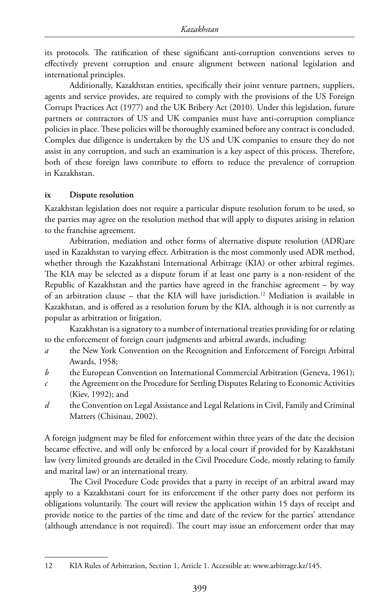its protocols. The ratification of these significant anti-corruption conventions serves to effectively prevent corruption and ensure alignment between national legislation and international principles.

Additionally, Kazakhstan entities, specifically their joint venture partners, suppliers, agents and service provides, are required to comply with the provisions of the US Foreign Corrupt Practices Act (1977) and the UK Bribery Act (2010). Under this legislation, future partners or contractors of US and UK companies must have anti-corruption compliance policies in place. These policies will be thoroughly examined before any contract is concluded. Complex due diligence is undertaken by the US and UK companies to ensure they do not assist in any corruption, and such an examination is a key aspect of this process. Therefore, both of these foreign laws contribute to efforts to reduce the prevalence of corruption in Kazakhstan.

#### **ix Dispute resolution**

Kazakhstan legislation does not require a particular dispute resolution forum to be used, so the parties may agree on the resolution method that will apply to disputes arising in relation to the franchise agreement.

Arbitration, mediation and other forms of alternative dispute resolution (ADR)are used in Kazakhstan to varying effect. Arbitration is the most commonly used ADR method, whether through the Kazakhstani International Arbitrage (KIA) or other arbitral regimes. The KIA may be selected as a dispute forum if at least one party is a non-resident of the Republic of Kazakhstan and the parties have agreed in the franchise agreement – by way of an arbitration clause – that the KIA will have jurisdiction.<sup>12</sup> Mediation is available in Kazakhstan, and is offered as a resolution forum by the KIA, although it is not currently as popular as arbitration or litigation.

Kazakhstan is a signatory to a number of international treaties providing for or relating to the enforcement of foreign court judgments and arbitral awards, including:

- *a* the New York Convention on the Recognition and Enforcement of Foreign Arbitral Awards, 1958;
- *b* the European Convention on International Commercial Arbitration (Geneva, 1961);
- *c* the Agreement on the Procedure for Settling Disputes Relating to Economic Activities (Kiev, 1992); and
- *d* the Convention on Legal Assistance and Legal Relations in Civil, Family and Criminal Matters (Chisinau, 2002).

A foreign judgment may be filed for enforcement within three years of the date the decision became effective, and will only be enforced by a local court if provided for by Kazakhstani law (very limited grounds are detailed in the Civil Procedure Code, mostly relating to family and marital law) or an international treaty.

The Civil Procedure Code provides that a party in receipt of an arbitral award may apply to a Kazakhstani court for its enforcement if the other party does not perform its obligations voluntarily. The court will review the application within 15 days of receipt and provide notice to the parties of the time and date of the review for the parties' attendance (although attendance is not required). The court may issue an enforcement order that may

<sup>12</sup> KIA Rules of Arbitration, Section 1, Article 1. Accessible at: www.arbitrage.kz/145.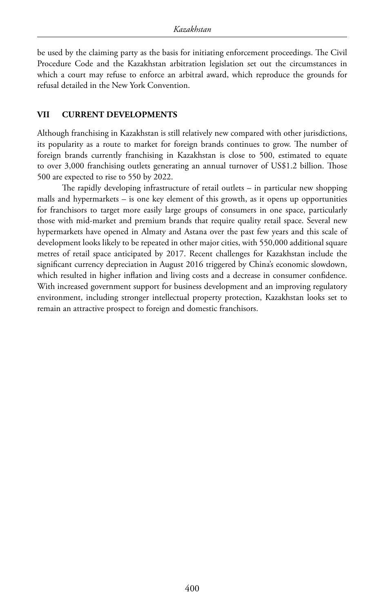be used by the claiming party as the basis for initiating enforcement proceedings. The Civil Procedure Code and the Kazakhstan arbitration legislation set out the circumstances in which a court may refuse to enforce an arbitral award, which reproduce the grounds for refusal detailed in the New York Convention.

#### **VII CURRENT DEVELOPMENTS**

Although franchising in Kazakhstan is still relatively new compared with other jurisdictions, its popularity as a route to market for foreign brands continues to grow. The number of foreign brands currently franchising in Kazakhstan is close to 500, estimated to equate to over 3,000 franchising outlets generating an annual turnover of US\$1.2 billion. Those 500 are expected to rise to 550 by 2022.

The rapidly developing infrastructure of retail outlets – in particular new shopping malls and hypermarkets – is one key element of this growth, as it opens up opportunities for franchisors to target more easily large groups of consumers in one space, particularly those with mid-market and premium brands that require quality retail space. Several new hypermarkets have opened in Almaty and Astana over the past few years and this scale of development looks likely to be repeated in other major cities, with 550,000 additional square metres of retail space anticipated by 2017. Recent challenges for Kazakhstan include the significant currency depreciation in August 2016 triggered by China's economic slowdown, which resulted in higher inflation and living costs and a decrease in consumer confidence. With increased government support for business development and an improving regulatory environment, including stronger intellectual property protection, Kazakhstan looks set to remain an attractive prospect to foreign and domestic franchisors.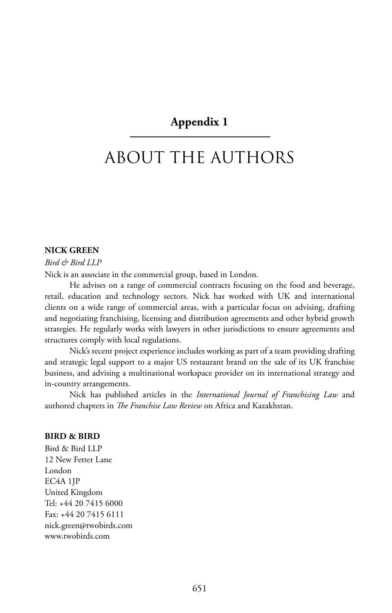## **Appendix 1**

# ABOUT THE AUTHORS

#### **NICK GREEN**

*Bird & Bird LLP* Nick is an associate in the commercial group, based in London.

He advises on a range of commercial contracts focusing on the food and beverage, retail, education and technology sectors. Nick has worked with UK and international clients on a wide range of commercial areas, with a particular focus on advising, drafting and negotiating franchising, licensing and distribution agreements and other hybrid growth strategies. He regularly works with lawyers in other jurisdictions to ensure agreements and structures comply with local regulations.

Nick's recent project experience includes working as part of a team providing drafting and strategic legal support to a major US restaurant brand on the sale of its UK franchise business, and advising a multinational workspace provider on its international strategy and in-country arrangements.

Nick has published articles in the *International Journal of Franchising Law* and authored chapters in *The Franchise Law Review* on Africa and Kazakhstan.

#### **BIRD & BIRD**

Bird & Bird LLP 12 New Fetter Lane London EC4A 1JP United Kingdom Tel: +44 20 7415 6000 Fax: +44 20 7415 6111 nick.green@twobirds.com www.twobirds.com